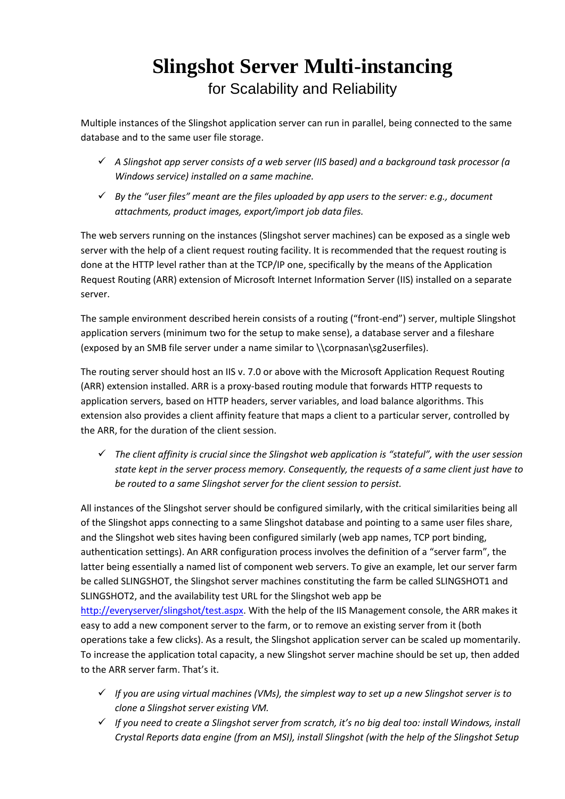## **Slingshot Server Multi-instancing** for Scalability and Reliability

Multiple instances of the Slingshot application server can run in parallel, being connected to the same database and to the same user file storage.

- *A Slingshot app server consists of a web server (IIS based) and a background task processor (a Windows service) installed on a same machine.*
- *By the "user files" meant are the files uploaded by app users to the server: e.g., document attachments, product images, export/import job data files.*

The web servers running on the instances (Slingshot server machines) can be exposed as a single web server with the help of a client request routing facility. It is recommended that the request routing is done at the HTTP level rather than at the TCP/IP one, specifically by the means of the Application Request Routing (ARR) extension of Microsoft Internet Information Server (IIS) installed on a separate server.

The sample environment described herein consists of a routing ("front-end") server, multiple Slingshot application servers (minimum two for the setup to make sense), a database server and a fileshare (exposed by an SMB file server under a name similar to \\corpnasan\sg2userfiles).

The routing server should host an IIS v. 7.0 or above with the Microsoft Application Request Routing (ARR) extension installed. ARR is a proxy-based routing module that forwards HTTP requests to application servers, based on HTTP headers, server variables, and load balance algorithms. This extension also provides a client affinity feature that maps a client to a particular server, controlled by the ARR, for the duration of the client session.

 *The client affinity is crucial since the Slingshot web application is "stateful", with the user session state kept in the server process memory. Consequently, the requests of a same client just have to be routed to a same Slingshot server for the client session to persist.*

All instances of the Slingshot server should be configured similarly, with the critical similarities being all of the Slingshot apps connecting to a same Slingshot database and pointing to a same user files share, and the Slingshot web sites having been configured similarly (web app names, TCP port binding, authentication settings). An ARR configuration process involves the definition of a "server farm", the latter being essentially a named list of component web servers. To give an example, let our server farm be called SLINGSHOT, the Slingshot server machines constituting the farm be called SLINGSHOT1 and SLINGSHOT2, and the availability test URL for the Slingshot web app be [http://everyserver/slingshot/test.aspx.](http://everyserver/slingshot/test.aspx) With the help of the IIS Management console, the ARR makes it easy to add a new component server to the farm, or to remove an existing server from it (both operations take a few clicks). As a result, the Slingshot application server can be scaled up momentarily. To increase the application total capacity, a new Slingshot server machine should be set up, then added to the ARR server farm. That's it.

- $\checkmark$  If you are using virtual machines (VMs), the simplest way to set up a new Slingshot server is to *clone a Slingshot server existing VM.*
- *If you need to create a Slingshot server from scratch, it's no big deal too: install Windows, install Crystal Reports data engine (from an MSI), install Slingshot (with the help of the Slingshot Setup*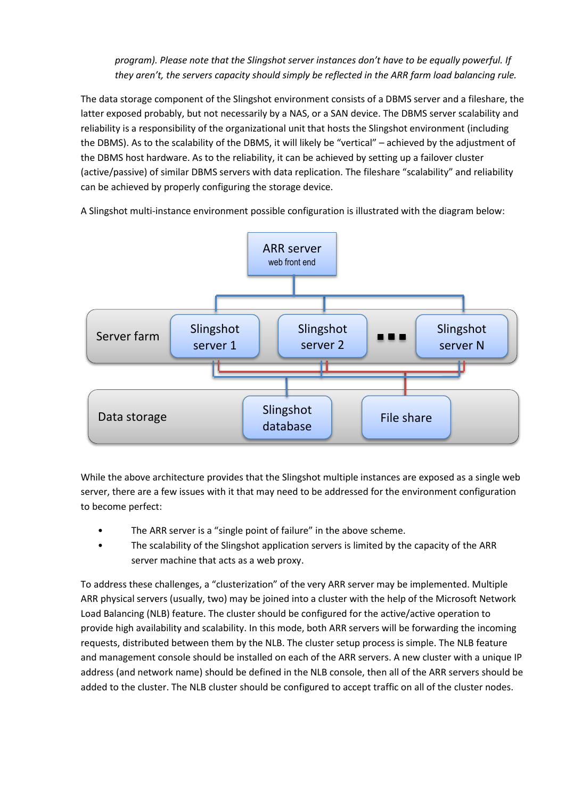*program). Please note that the Slingshot server instances don't have to be equally powerful. If they aren't, the servers capacity should simply be reflected in the ARR farm load balancing rule.*

The data storage component of the Slingshot environment consists of a DBMS server and a fileshare, the latter exposed probably, but not necessarily by a NAS, or a SAN device. The DBMS server scalability and reliability is a responsibility of the organizational unit that hosts the Slingshot environment (including the DBMS). As to the scalability of the DBMS, it will likely be "vertical" – achieved by the adjustment of the DBMS host hardware. As to the reliability, it can be achieved by setting up a failover cluster (active/passive) of similar DBMS servers with data replication. The fileshare "scalability" and reliability can be achieved by properly configuring the storage device.

A Slingshot multi-instance environment possible configuration is illustrated with the diagram below:



While the above architecture provides that the Slingshot multiple instances are exposed as a single web server, there are a few issues with it that may need to be addressed for the environment configuration to become perfect:

- The ARR server is a "single point of failure" in the above scheme.
- The scalability of the Slingshot application servers is limited by the capacity of the ARR server machine that acts as a web proxy.

To address these challenges, a "clusterization" of the very ARR server may be implemented. Multiple ARR physical servers (usually, two) may be joined into a cluster with the help of the Microsoft Network Load Balancing (NLB) feature. The cluster should be configured for the active/active operation to provide high availability and scalability. In this mode, both ARR servers will be forwarding the incoming requests, distributed between them by the NLB. The cluster setup process is simple. The NLB feature and management console should be installed on each of the ARR servers. A new cluster with a unique IP address (and network name) should be defined in the NLB console, then all of the ARR servers should be added to the cluster. The NLB cluster should be configured to accept traffic on all of the cluster nodes.